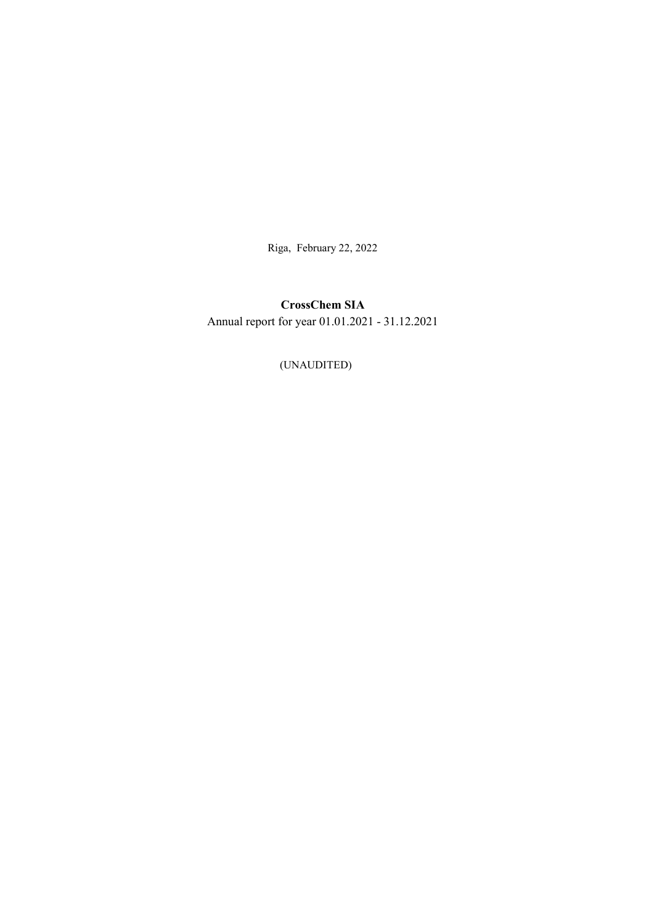Riga, February 22, 2022

# CrossChem SIA Annual report for year 01.01.2021 - 31.12.2021

(UNAUDITED)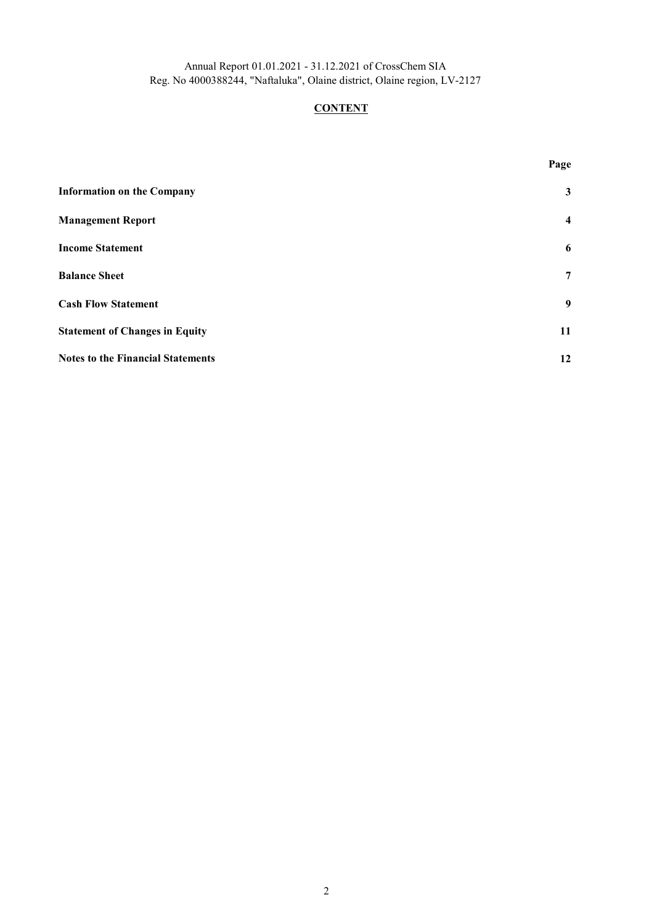## **CONTENT**

| <b>Information on the Company</b>        | 3  |
|------------------------------------------|----|
| <b>Management Report</b>                 | 4  |
| <b>Income Statement</b>                  | 6  |
| <b>Balance Sheet</b>                     | 7  |
| <b>Cash Flow Statement</b>               | 9  |
| <b>Statement of Changes in Equity</b>    | 11 |
| <b>Notes to the Financial Statements</b> | 12 |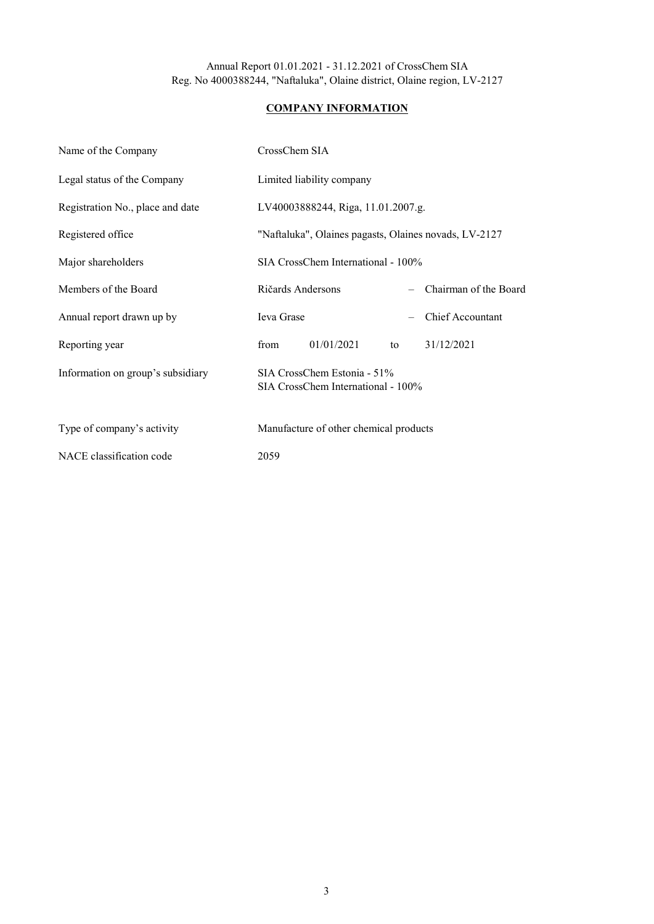## COMPANY INFORMATION

| Name of the Company               | CrossChem SIA                                                     |
|-----------------------------------|-------------------------------------------------------------------|
| Legal status of the Company       | Limited liability company                                         |
| Registration No., place and date  | LV40003888244, Riga, 11.01.2007.g.                                |
| Registered office                 | "Naftaluka", Olaines pagasts, Olaines novads, LV-2127             |
| Major shareholders                | SIA CrossChem International - 100%                                |
| Members of the Board              | Ričards Andersons<br>Chairman of the Board                        |
| Annual report drawn up by         | <b>Chief Accountant</b><br><b>Ieva</b> Grase                      |
| Reporting year                    | 01/01/2021<br>31/12/2021<br>from<br>to                            |
| Information on group's subsidiary | SIA CrossChem Estonia - 51%<br>SIA CrossChem International - 100% |
| Type of company's activity        | Manufacture of other chemical products                            |
| NACE classification code          | 2059                                                              |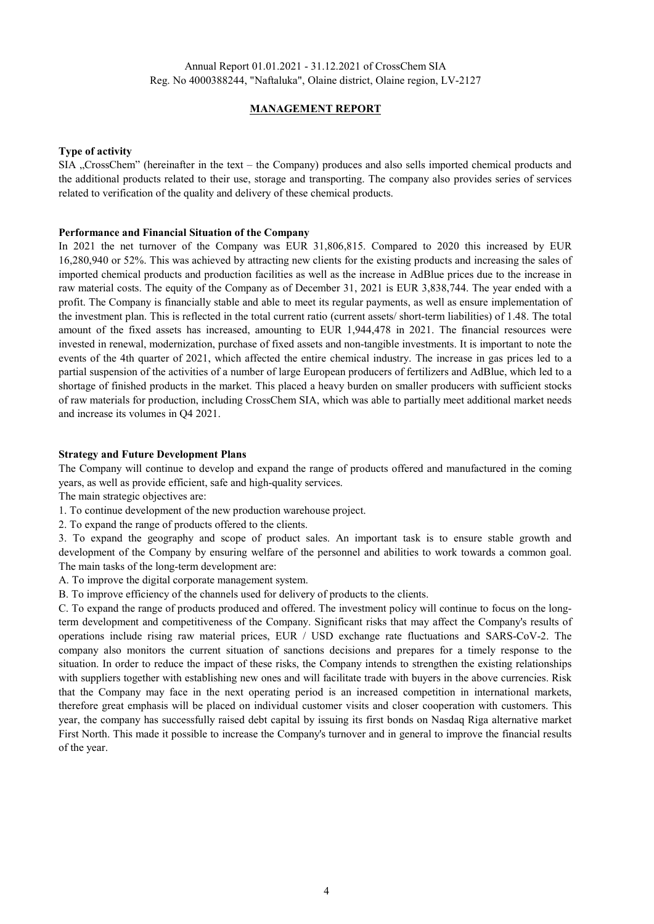### MANAGEMENT REPORT

#### Type of activity

SIA "CrossChem" (hereinafter in the text – the Company) produces and also sells imported chemical products and the additional products related to their use, storage and transporting. The company also provides series of services related to verification of the quality and delivery of these chemical products.

#### Performance and Financial Situation of the Company

In 2021 the net turnover of the Company was EUR 31,806,815. Compared to 2020 this increased by EUR 16,280,940 or 52%. This was achieved by attracting new clients for the existing products and increasing the sales of imported chemical products and production facilities as well as the increase in AdBlue prices due to the increase in raw material costs. The equity of the Company as of December 31, 2021 is EUR 3,838,744. The year ended with a profit. The Company is financially stable and able to meet its regular payments, as well as ensure implementation of the investment plan. This is reflected in the total current ratio (current assets/ short-term liabilities) of 1.48. The total amount of the fixed assets has increased, amounting to EUR 1,944,478 in 2021. The financial resources were invested in renewal, modernization, purchase of fixed assets and non-tangible investments. It is important to note the events of the 4th quarter of 2021, which affected the entire chemical industry. The increase in gas prices led to a partial suspension of the activities of a number of large European producers of fertilizers and AdBlue, which led to a shortage of finished products in the market. This placed a heavy burden on smaller producers with sufficient stocks of raw materials for production, including CrossChem SIA, which was able to partially meet additional market needs and increase its volumes in Q4 2021.

#### Strategy and Future Development Plans

The Company will continue to develop and expand the range of products offered and manufactured in the coming years, as well as provide efficient, safe and high-quality services.

The main strategic objectives are:

- 1. To continue development of the new production warehouse project.
- 2. To expand the range of products offered to the clients.

3. To expand the geography and scope of product sales. An important task is to ensure stable growth and development of the Company by ensuring welfare of the personnel and abilities to work towards a common goal. The main tasks of the long-term development are:

- A. To improve the digital corporate management system.
- B. To improve efficiency of the channels used for delivery of products to the clients.

C. To expand the range of products produced and offered. The investment policy will continue to focus on the longterm development and competitiveness of the Company. Significant risks that may affect the Company's results of operations include rising raw material prices, EUR / USD exchange rate fluctuations and SARS-CoV-2. The company also monitors the current situation of sanctions decisions and prepares for a timely response to the situation. In order to reduce the impact of these risks, the Company intends to strengthen the existing relationships with suppliers together with establishing new ones and will facilitate trade with buyers in the above currencies. Risk that the Company may face in the next operating period is an increased competition in international markets, therefore great emphasis will be placed on individual customer visits and closer cooperation with customers. This year, the company has successfully raised debt capital by issuing its first bonds on Nasdaq Riga alternative market First North. This made it possible to increase the Company's turnover and in general to improve the financial results of the year.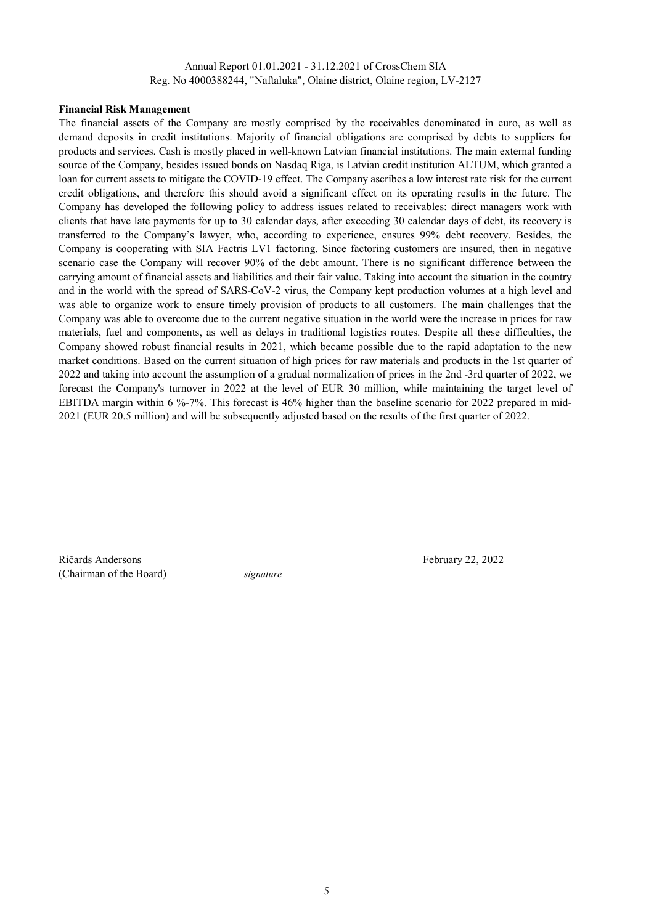#### Financial Risk Management

The financial assets of the Company are mostly comprised by the receivables denominated in euro, as well as demand deposits in credit institutions. Majority of financial obligations are comprised by debts to suppliers for products and services. Cash is mostly placed in well-known Latvian financial institutions. The main external funding source of the Company, besides issued bonds on Nasdaq Riga, is Latvian credit institution ALTUM, which granted a loan for current assets to mitigate the COVID-19 effect. The Company ascribes a low interest rate risk for the current credit obligations, and therefore this should avoid a significant effect on its operating results in the future. The Company has developed the following policy to address issues related to receivables: direct managers work with clients that have late payments for up to 30 calendar days, after exceeding 30 calendar days of debt, its recovery is transferred to the Company's lawyer, who, according to experience, ensures 99% debt recovery. Besides, the Company is cooperating with SIA Factris LV1 factoring. Since factoring customers are insured, then in negative scenario case the Company will recover 90% of the debt amount. There is no significant difference between the carrying amount of financial assets and liabilities and their fair value. Taking into account the situation in the country and in the world with the spread of SARS-CoV-2 virus, the Company kept production volumes at a high level and was able to organize work to ensure timely provision of products to all customers. The main challenges that the Company was able to overcome due to the current negative situation in the world were the increase in prices for raw materials, fuel and components, as well as delays in traditional logistics routes. Despite all these difficulties, the Company showed robust financial results in 2021, which became possible due to the rapid adaptation to the new market conditions. Based on the current situation of high prices for raw materials and products in the 1st quarter of 2022 and taking into account the assumption of a gradual normalization of prices in the 2nd -3rd quarter of 2022, we forecast the Company's turnover in 2022 at the level of EUR 30 million, while maintaining the target level of EBITDA margin within 6 %-7%. This forecast is 46% higher than the baseline scenario for 2022 prepared in mid-2021 (EUR 20.5 million) and will be subsequently adjusted based on the results of the first quarter of 2022.

Ričards Andersons February 22, 2022 (Chairman of the Board) signature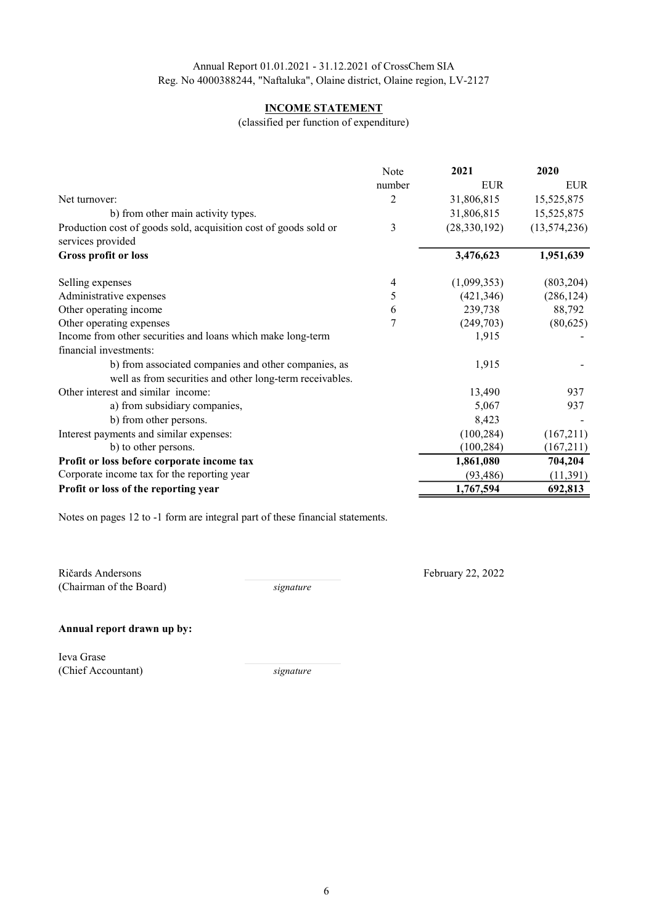## INCOME STATEMENT

(classified per function of expenditure)

|                                                                  | Note   | 2021           | 2020           |
|------------------------------------------------------------------|--------|----------------|----------------|
|                                                                  | number | <b>EUR</b>     | <b>EUR</b>     |
| Net turnover:                                                    | 2      | 31,806,815     | 15,525,875     |
| b) from other main activity types.                               |        | 31,806,815     | 15,525,875     |
| Production cost of goods sold, acquisition cost of goods sold or | 3      | (28, 330, 192) | (13, 574, 236) |
| services provided                                                |        |                |                |
| <b>Gross profit or loss</b>                                      |        | 3,476,623      | 1,951,639      |
| Selling expenses                                                 | 4      | (1,099,353)    | (803, 204)     |
| Administrative expenses                                          | 5      | (421, 346)     | (286, 124)     |
| Other operating income                                           | 6      | 239,738        | 88,792         |
| Other operating expenses                                         | 7      | (249,703)      | (80,625)       |
| Income from other securities and loans which make long-term      |        | 1,915          |                |
| financial investments:                                           |        |                |                |
| b) from associated companies and other companies, as             |        | 1,915          |                |
| well as from securities and other long-term receivables.         |        |                |                |
| Other interest and similar income:                               |        | 13,490         | 937            |
| a) from subsidiary companies,                                    |        | 5,067          | 937            |
| b) from other persons.                                           |        | 8,423          |                |
| Interest payments and similar expenses:                          |        | (100, 284)     | (167,211)      |
| b) to other persons.                                             |        | (100, 284)     | (167,211)      |
| Profit or loss before corporate income tax                       |        | 1,861,080      | 704,204        |
| Corporate income tax for the reporting year                      |        | (93, 486)      | (11, 391)      |
| Profit or loss of the reporting year                             |        | 1,767,594      | 692,813        |

Notes on pages 12 to -1 form are integral part of these financial statements.

Ričards Andersons (Chairman of the Board)

signature

February 22, 2022

#### Annual report drawn up by:

Ieva Grase (Chief Accountant)

signature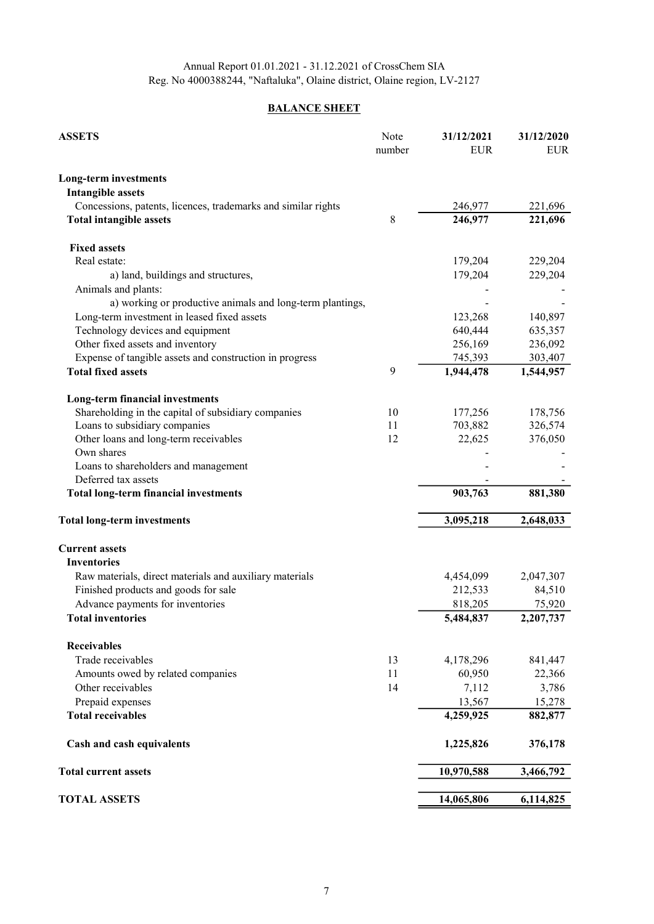## **BALANCE SHEET**

| <b>ASSETS</b>                                                 | Note   | 31/12/2021 | 31/12/2020 |
|---------------------------------------------------------------|--------|------------|------------|
|                                                               | number | <b>EUR</b> | <b>EUR</b> |
| <b>Long-term investments</b>                                  |        |            |            |
| <b>Intangible assets</b>                                      |        |            |            |
| Concessions, patents, licences, trademarks and similar rights |        | 246,977    | 221,696    |
| <b>Total intangible assets</b>                                | 8      | 246,977    | 221,696    |
| <b>Fixed assets</b>                                           |        |            |            |
| Real estate:                                                  |        | 179,204    | 229,204    |
| a) land, buildings and structures,                            |        | 179,204    | 229,204    |
| Animals and plants:                                           |        |            |            |
| a) working or productive animals and long-term plantings,     |        |            |            |
| Long-term investment in leased fixed assets                   |        | 123,268    | 140,897    |
| Technology devices and equipment                              |        | 640,444    | 635,357    |
| Other fixed assets and inventory                              |        | 256,169    | 236,092    |
| Expense of tangible assets and construction in progress       |        | 745,393    | 303,407    |
| <b>Total fixed assets</b>                                     | 9      | 1,944,478  | 1,544,957  |
| Long-term financial investments                               |        |            |            |
| Shareholding in the capital of subsidiary companies           | 10     | 177,256    | 178,756    |
| Loans to subsidiary companies                                 | 11     | 703,882    | 326,574    |
| Other loans and long-term receivables                         | 12     | 22,625     | 376,050    |
| Own shares                                                    |        |            |            |
| Loans to shareholders and management                          |        |            |            |
| Deferred tax assets                                           |        |            |            |
| <b>Total long-term financial investments</b>                  |        | 903,763    | 881,380    |
| <b>Total long-term investments</b>                            |        | 3,095,218  | 2,648,033  |
| <b>Current assets</b>                                         |        |            |            |
| <b>Inventories</b>                                            |        |            |            |
| Raw materials, direct materials and auxiliary materials       |        | 4,454,099  | 2,047,307  |
| Finished products and goods for sale                          |        | 212,533    | 84,510     |
| Advance payments for inventories                              |        | 818,205    | 75,920     |
| <b>Total inventories</b>                                      |        | 5,484,837  | 2,207,737  |
| <b>Receivables</b>                                            |        |            |            |
| Trade receivables                                             | 13     | 4,178,296  | 841,447    |
| Amounts owed by related companies                             | 11     | 60,950     | 22,366     |
| Other receivables                                             | 14     | 7,112      | 3,786      |
| Prepaid expenses                                              |        | 13,567     | 15,278     |
| <b>Total receivables</b>                                      |        | 4,259,925  | 882,877    |
| Cash and cash equivalents                                     |        | 1,225,826  | 376,178    |
| <b>Total current assets</b>                                   |        | 10,970,588 | 3,466,792  |
|                                                               |        |            |            |
| <b>TOTAL ASSETS</b>                                           |        | 14,065,806 | 6,114,825  |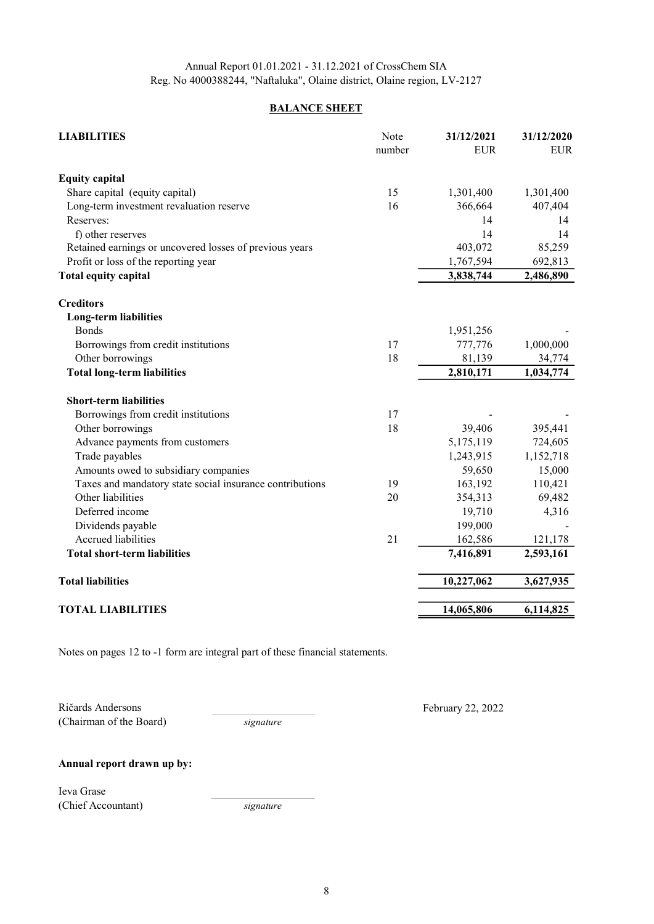## **BALANCE SHEET**

| <b>LIABILITIES</b>                                       | Note<br>number | 31/12/2021<br><b>EUR</b> | 31/12/2020<br><b>EUR</b> |
|----------------------------------------------------------|----------------|--------------------------|--------------------------|
| <b>Equity capital</b>                                    |                |                          |                          |
| Share capital (equity capital)                           | 15             | 1,301,400                | 1,301,400                |
| Long-term investment revaluation reserve                 | 16             | 366,664                  | 407,404                  |
| Reserves:                                                |                | 14                       | 14                       |
| f) other reserves                                        |                | 14                       | 14                       |
| Retained earnings or uncovered losses of previous years  |                | 403,072                  | 85,259                   |
| Profit or loss of the reporting year                     |                | 1,767,594                | 692,813                  |
| <b>Total equity capital</b>                              |                | 3,838,744                | 2,486,890                |
| <b>Creditors</b>                                         |                |                          |                          |
| <b>Long-term liabilities</b>                             |                |                          |                          |
| <b>Bonds</b>                                             |                | 1,951,256                |                          |
| Borrowings from credit institutions                      | 17             | 777,776                  | 1,000,000                |
| Other borrowings                                         | 18             | 81,139                   | 34,774                   |
| <b>Total long-term liabilities</b>                       |                | 2,810,171                | 1,034,774                |
| <b>Short-term liabilities</b>                            |                |                          |                          |
| Borrowings from credit institutions                      | 17             |                          |                          |
| Other borrowings                                         | 18             | 39,406                   | 395,441                  |
| Advance payments from customers                          |                | 5,175,119                | 724,605                  |
| Trade payables                                           |                | 1,243,915                | 1,152,718                |
| Amounts owed to subsidiary companies                     |                | 59,650                   | 15,000                   |
| Taxes and mandatory state social insurance contributions | 19             | 163,192                  | 110,421                  |
| Other liabilities                                        | 20             | 354,313                  | 69,482                   |
| Deferred income                                          |                | 19,710                   | 4,316                    |
| Dividends payable                                        |                | 199,000                  |                          |
| Accrued liabilities                                      | 21             | 162,586                  | 121,178                  |
| <b>Total short-term liabilities</b>                      |                | 7,416,891                | 2,593,161                |
| <b>Total liabilities</b>                                 |                | 10,227,062               | 3,627,935                |
| <b>TOTAL LIABILITIES</b>                                 |                | 14,065,806               | 6,114,825                |

Notes on pages 12 to -1 form are integral part of these financial statements.

Ričards Andersons (Chairman of the Board) signature

February 22, 2022

Annual report drawn up by:

Ieva Grase (Chief Accountant)

signature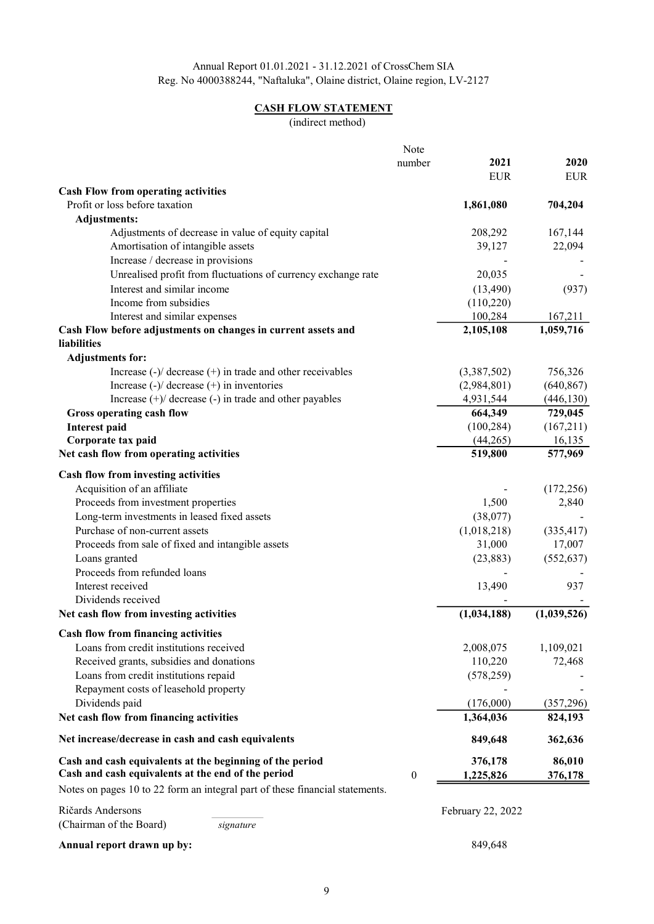## CASH FLOW STATEMENT

(indirect method)

|                                                                                                        | Note             |                   |                |
|--------------------------------------------------------------------------------------------------------|------------------|-------------------|----------------|
|                                                                                                        | number           | 2021              | 2020           |
|                                                                                                        |                  | <b>EUR</b>        | <b>EUR</b>     |
| <b>Cash Flow from operating activities</b>                                                             |                  |                   |                |
| Profit or loss before taxation                                                                         |                  | 1,861,080         | 704,204        |
| <b>Adjustments:</b>                                                                                    |                  |                   |                |
| Adjustments of decrease in value of equity capital                                                     |                  | 208,292           | 167,144        |
| Amortisation of intangible assets                                                                      |                  | 39,127            | 22,094         |
| Increase / decrease in provisions                                                                      |                  |                   |                |
| Unrealised profit from fluctuations of currency exchange rate                                          |                  | 20,035            |                |
| Interest and similar income                                                                            |                  | (13,490)          | (937)          |
| Income from subsidies                                                                                  |                  | (110,220)         |                |
| Interest and similar expenses                                                                          |                  | 100,284           | 167,211        |
| Cash Flow before adjustments on changes in current assets and                                          |                  | 2,105,108         | 1,059,716      |
| liabilities                                                                                            |                  |                   |                |
| <b>Adjustments for:</b>                                                                                |                  |                   |                |
| Increase $\left(\frac{1}{2}\right)$ decrease $\left(\frac{1}{2}\right)$ in trade and other receivables |                  | (3,387,502)       | 756,326        |
| Increase $(-)/$ decrease $(+)$ in inventories                                                          |                  | (2,984,801)       | (640, 867)     |
| Increase $(+)$ decrease $(-)$ in trade and other payables                                              |                  | 4,931,544         | (446, 130)     |
| Gross operating cash flow                                                                              |                  | 664,349           | 729,045        |
| <b>Interest paid</b>                                                                                   |                  | (100, 284)        | (167,211)      |
| Corporate tax paid                                                                                     |                  | (44,265)          | 16,135         |
| Net cash flow from operating activities                                                                |                  | 519,800           | 577,969        |
|                                                                                                        |                  |                   |                |
| Cash flow from investing activities                                                                    |                  |                   |                |
| Acquisition of an affiliate                                                                            |                  |                   | (172, 256)     |
| Proceeds from investment properties                                                                    |                  | 1,500             | 2,840          |
| Long-term investments in leased fixed assets                                                           |                  | (38,077)          |                |
| Purchase of non-current assets                                                                         |                  | (1,018,218)       | (335, 417)     |
| Proceeds from sale of fixed and intangible assets                                                      |                  | 31,000            | 17,007         |
| Loans granted                                                                                          |                  | (23, 883)         | (552, 637)     |
| Proceeds from refunded loans                                                                           |                  |                   |                |
| Interest received                                                                                      |                  | 13,490            | 937            |
| Dividends received                                                                                     |                  |                   |                |
| Net cash flow from investing activities                                                                |                  | (1,034,188)       | (1,039,526)    |
| Cash flow from financing activities                                                                    |                  |                   |                |
| Loans from credit institutions received                                                                |                  | 2,008,075         | 1,109,021      |
| Received grants, subsidies and donations                                                               |                  | 110,220           | 72,468         |
| Loans from credit institutions repaid                                                                  |                  | (578, 259)        |                |
| Repayment costs of leasehold property                                                                  |                  |                   |                |
| Dividends paid                                                                                         |                  | (176,000)         | (357, 296)     |
| Net cash flow from financing activities                                                                |                  | 1,364,036         | 824,193        |
|                                                                                                        |                  |                   |                |
| Net increase/decrease in cash and cash equivalents                                                     |                  | 849,648           | 362,636        |
| Cash and cash equivalents at the beginning of the period                                               |                  | 376,178           | 86,010         |
| Cash and cash equivalents at the end of the period                                                     | $\boldsymbol{0}$ | 1,225,826         | <u>376,178</u> |
| Notes on pages 10 to 22 form an integral part of these financial statements.                           |                  |                   |                |
| Ričards Andersons                                                                                      |                  | February 22, 2022 |                |
| (Chairman of the Board)<br>signature                                                                   |                  |                   |                |
| Annual report drawn up by:                                                                             |                  | 849,648           |                |
|                                                                                                        |                  |                   |                |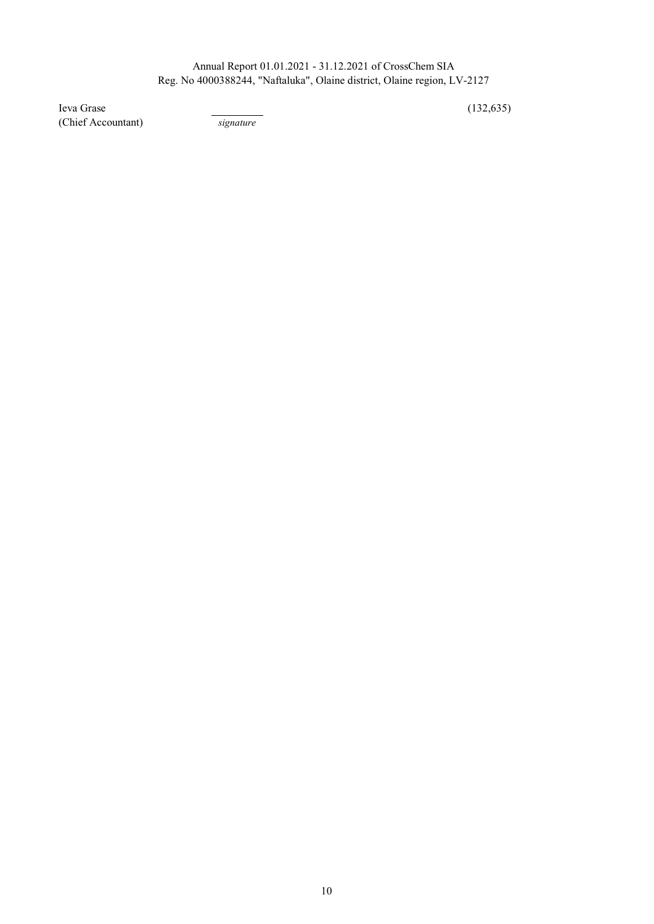$I$ eva Grase  $(132,635)$ (Chief Accountant) signature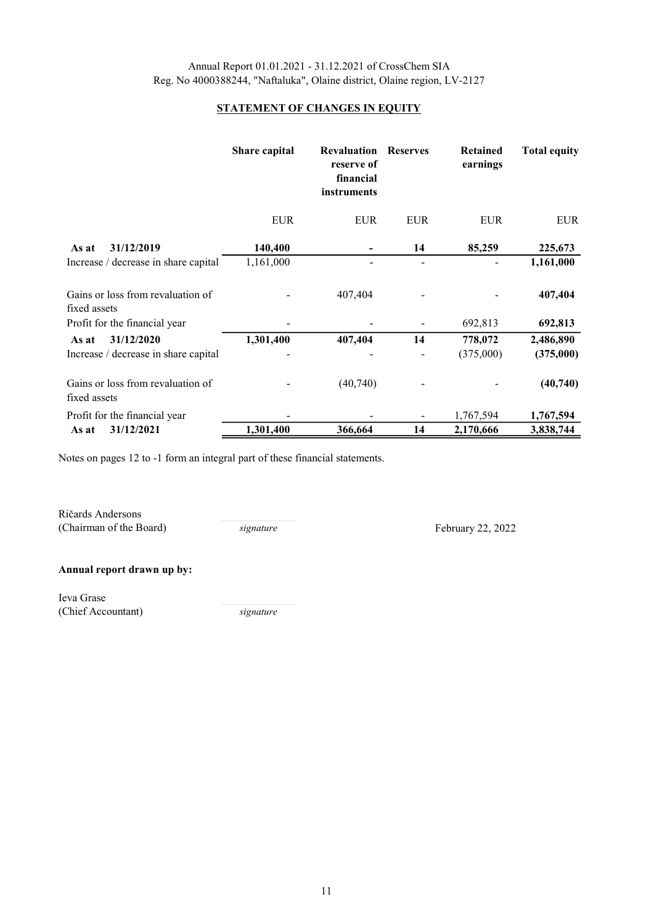## STATEMENT OF CHANGES IN EQUITY

|                                                   | Share capital | <b>Revaluation</b><br>reserve of<br>financial<br>instruments | <b>Reserves</b> | <b>Retained</b><br>earnings | <b>Total equity</b> |
|---------------------------------------------------|---------------|--------------------------------------------------------------|-----------------|-----------------------------|---------------------|
|                                                   | <b>EUR</b>    | <b>EUR</b>                                                   | <b>EUR</b>      | <b>EUR</b>                  | <b>EUR</b>          |
| 31/12/2019<br>As at                               | 140,400       |                                                              | 14              | 85,259                      | 225,673             |
| Increase / decrease in share capital              | 1,161,000     |                                                              |                 |                             | 1,161,000           |
| Gains or loss from revaluation of<br>fixed assets |               | 407,404                                                      |                 |                             | 407,404             |
| Profit for the financial year                     |               |                                                              |                 | 692,813                     | 692,813             |
| 31/12/2020<br>As at                               | 1,301,400     | 407,404                                                      | 14              | 778,072                     | 2,486,890           |
| Increase / decrease in share capital              |               |                                                              |                 | (375,000)                   | (375,000)           |
| Gains or loss from revaluation of<br>fixed assets |               | (40,740)                                                     |                 |                             | (40, 740)           |
| Profit for the financial year                     |               |                                                              |                 | 1,767,594                   | 1,767,594           |
| 31/12/2021<br>As at                               | 1,301,400     | 366,664                                                      | 14              | 2,170,666                   | 3,838,744           |

Notes on pages 12 to -1 form an integral part of these financial statements.

Ričards Andersons (Chairman of the Board)

signature February 22, 2022

## Annual report drawn up by:

Ieva Grase (Chief Accountant) signature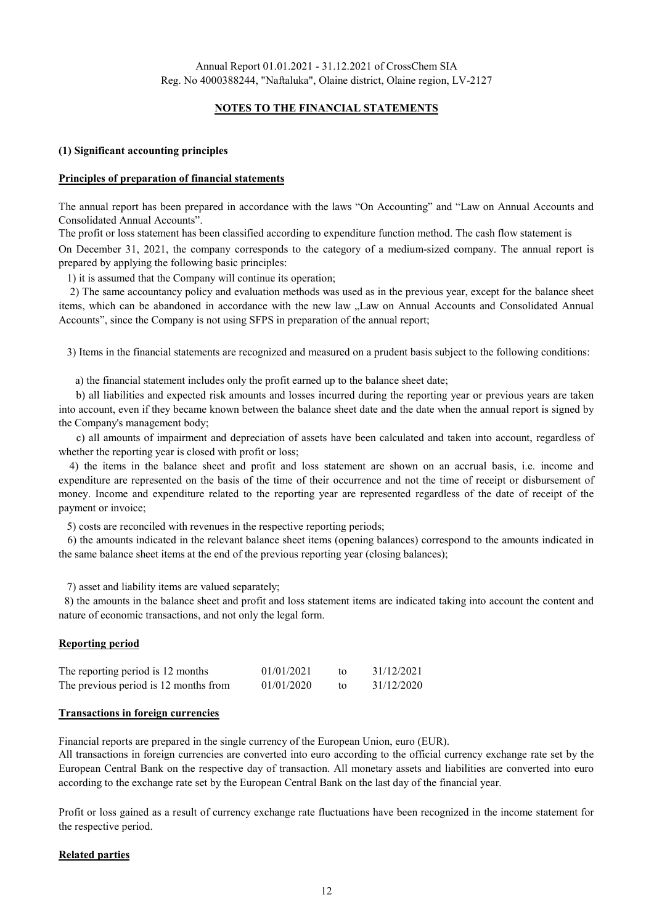## NOTES TO THE FINANCIAL STATEMENTS

#### (1) Significant accounting principles

#### Principles of preparation of financial statements

The annual report has been prepared in accordance with the laws "On Accounting" and "Law on Annual Accounts and Consolidated Annual Accounts".

The profit or loss statement has been classified according to expenditure function method. The cash flow statement is On December 31, 2021, the company corresponds to the category of a medium-sized company. The annual report is prepared by applying the following basic principles:

1) it is assumed that the Company will continue its operation;

2) The same accountancy policy and evaluation methods was used as in the previous year, except for the balance sheet items, which can be abandoned in accordance with the new law "Law on Annual Accounts and Consolidated Annual Accounts", since the Company is not using SFPS in preparation of the annual report;

3) Items in the financial statements are recognized and measured on a prudent basis subject to the following conditions:

a) the financial statement includes only the profit earned up to the balance sheet date;

b) all liabilities and expected risk amounts and losses incurred during the reporting year or previous years are taken into account, even if they became known between the balance sheet date and the date when the annual report is signed by the Company's management body;

c) all amounts of impairment and depreciation of assets have been calculated and taken into account, regardless of whether the reporting year is closed with profit or loss;

4) the items in the balance sheet and profit and loss statement are shown on an accrual basis, i.e. income and expenditure are represented on the basis of the time of their occurrence and not the time of receipt or disbursement of money. Income and expenditure related to the reporting year are represented regardless of the date of receipt of the payment or invoice;

5) costs are reconciled with revenues in the respective reporting periods;

6) the amounts indicated in the relevant balance sheet items (opening balances) correspond to the amounts indicated in the same balance sheet items at the end of the previous reporting year (closing balances);

7) asset and liability items are valued separately;

8) the amounts in the balance sheet and profit and loss statement items are indicated taking into account the content and nature of economic transactions, and not only the legal form.

#### Reporting period

| The reporting period is 12 months     | 01/01/2021 | 31/12/2021 |
|---------------------------------------|------------|------------|
| The previous period is 12 months from | 01/01/2020 | 31/12/2020 |

#### Transactions in foreign currencies

Financial reports are prepared in the single currency of the European Union, euro (EUR).

All transactions in foreign currencies are converted into euro according to the official currency exchange rate set by the European Central Bank on the respective day of transaction. All monetary assets and liabilities are converted into euro according to the exchange rate set by the European Central Bank on the last day of the financial year.

Profit or loss gained as a result of currency exchange rate fluctuations have been recognized in the income statement for the respective period.

#### Related parties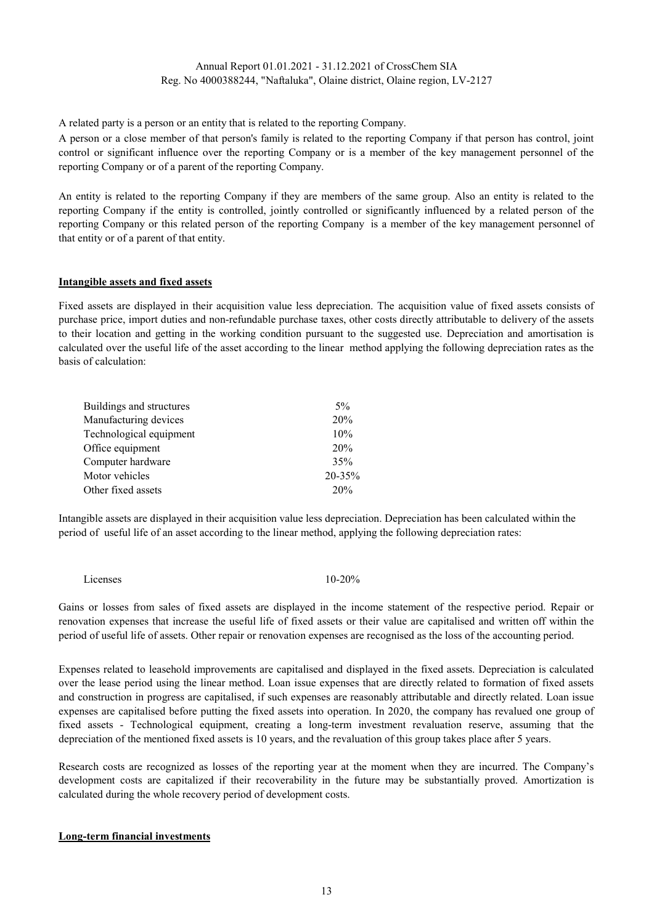A related party is a person or an entity that is related to the reporting Company.

A person or a close member of that person's family is related to the reporting Company if that person has control, joint control or significant influence over the reporting Company or is a member of the key management personnel of the reporting Company or of a parent of the reporting Company.

An entity is related to the reporting Company if they are members of the same group. Also an entity is related to the reporting Company if the entity is controlled, jointly controlled or significantly influenced by a related person of the reporting Company or this related person of the reporting Company is a member of the key management personnel of that entity or of a parent of that entity.

#### Intangible assets and fixed assets

Fixed assets are displayed in their acquisition value less depreciation. The acquisition value of fixed assets consists of purchase price, import duties and non-refundable purchase taxes, other costs directly attributable to delivery of the assets to their location and getting in the working condition pursuant to the suggested use. Depreciation and amortisation is calculated over the useful life of the asset according to the linear method applying the following depreciation rates as the basis of calculation:

| $5\%$  |
|--------|
| 20%    |
| 10%    |
| 20%    |
| 35%    |
| 20-35% |
| 20%    |
|        |

Intangible assets are displayed in their acquisition value less depreciation. Depreciation has been calculated within the period of useful life of an asset according to the linear method, applying the following depreciation rates:

10-20% Licenses

Gains or losses from sales of fixed assets are displayed in the income statement of the respective period. Repair or renovation expenses that increase the useful life of fixed assets or their value are capitalised and written off within the period of useful life of assets. Other repair or renovation expenses are recognised as the loss of the accounting period.

Expenses related to leasehold improvements are capitalised and displayed in the fixed assets. Depreciation is calculated over the lease period using the linear method. Loan issue expenses that are directly related to formation of fixed assets and construction in progress are capitalised, if such expenses are reasonably attributable and directly related. Loan issue expenses are capitalised before putting the fixed assets into operation. In 2020, the company has revalued one group of fixed assets - Technological equipment, creating a long-term investment revaluation reserve, assuming that the depreciation of the mentioned fixed assets is 10 years, and the revaluation of this group takes place after 5 years.

Research costs are recognized as losses of the reporting year at the moment when they are incurred. The Company's development costs are capitalized if their recoverability in the future may be substantially proved. Amortization is calculated during the whole recovery period of development costs.

#### Long-term financial investments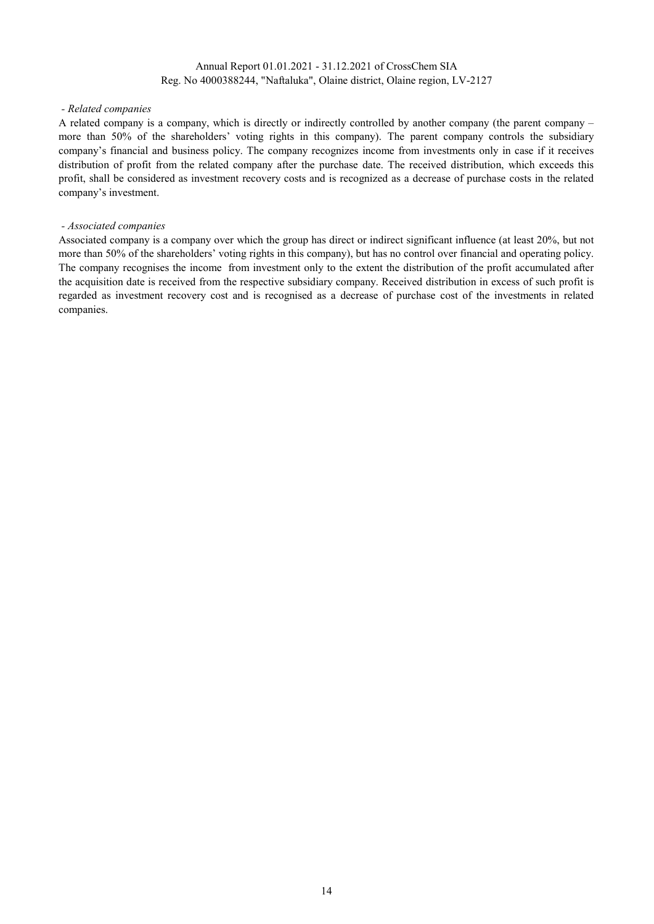#### - Related companies

A related company is a company, which is directly or indirectly controlled by another company (the parent company – more than 50% of the shareholders' voting rights in this company). The parent company controls the subsidiary company's financial and business policy. The company recognizes income from investments only in case if it receives distribution of profit from the related company after the purchase date. The received distribution, which exceeds this profit, shall be considered as investment recovery costs and is recognized as a decrease of purchase costs in the related company's investment.

#### - Associated companies

Associated company is a company over which the group has direct or indirect significant influence (at least 20%, but not more than 50% of the shareholders' voting rights in this company), but has no control over financial and operating policy. The company recognises the income from investment only to the extent the distribution of the profit accumulated after the acquisition date is received from the respective subsidiary company. Received distribution in excess of such profit is regarded as investment recovery cost and is recognised as a decrease of purchase cost of the investments in related companies.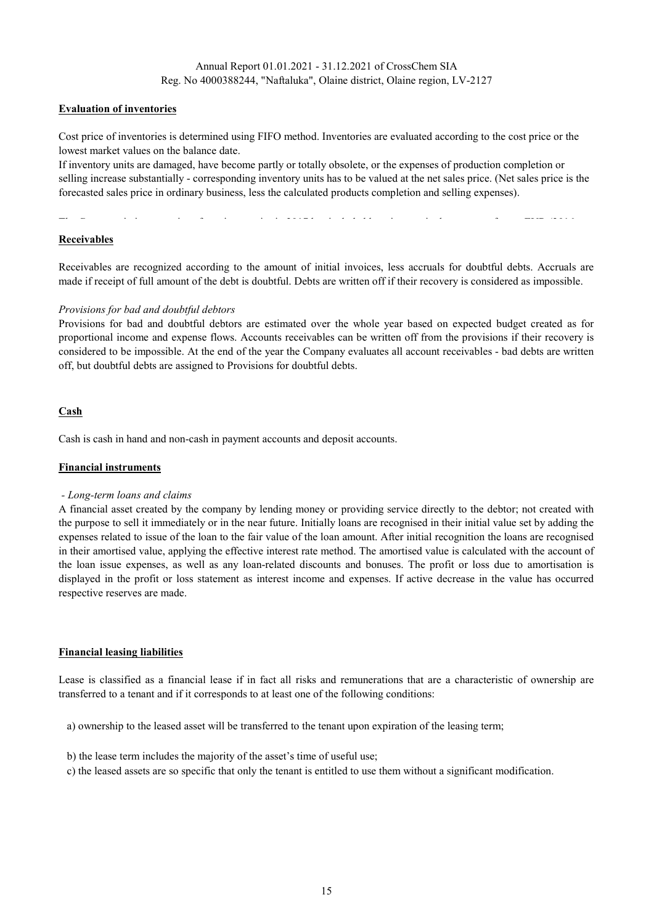## Evaluation of inventories

Cost price of inventories is determined using FIFO method. Inventories are evaluated according to the cost price or the lowest market values on the balance date.

If inventory units are damaged, have become partly or totally obsolete, or the expenses of production completion or selling increase substantially - corresponding inventory units has to be valued at the net sales price. (Net sales price is the forecasted sales price in ordinary business, less the calculated products completion and selling expenses).

The Company in its cost price of xxx inventories in 2017 has included loan interest in the amount of xxxx EUR (2016:

## Receivables

Receivables are recognized according to the amount of initial invoices, less accruals for doubtful debts. Accruals are made if receipt of full amount of the debt is doubtful. Debts are written off if their recovery is considered as impossible.

### Provisions for bad and doubtful debtors

Provisions for bad and doubtful debtors are estimated over the whole year based on expected budget created as for proportional income and expense flows. Accounts receivables can be written off from the provisions if their recovery is considered to be impossible. At the end of the year the Company evaluates all account receivables - bad debts are written off, but doubtful debts are assigned to Provisions for doubtful debts.

## Cash

Cash is cash in hand and non-cash in payment accounts and deposit accounts.

### Financial instruments

#### - Long-term loans and claims

A financial asset created by the company by lending money or providing service directly to the debtor; not created with the purpose to sell it immediately or in the near future. Initially loans are recognised in their initial value set by adding the expenses related to issue of the loan to the fair value of the loan amount. After initial recognition the loans are recognised in their amortised value, applying the effective interest rate method. The amortised value is calculated with the account of the loan issue expenses, as well as any loan-related discounts and bonuses. The profit or loss due to amortisation is displayed in the profit or loss statement as interest income and expenses. If active decrease in the value has occurred respective reserves are made.

#### Financial leasing liabilities

Lease is classified as a financial lease if in fact all risks and remunerations that are a characteristic of ownership are transferred to a tenant and if it corresponds to at least one of the following conditions:

a) ownership to the leased asset will be transferred to the tenant upon expiration of the leasing term;

- b) the lease term includes the majority of the asset's time of useful use;
- c) the leased assets are so specific that only the tenant is entitled to use them without a significant modification.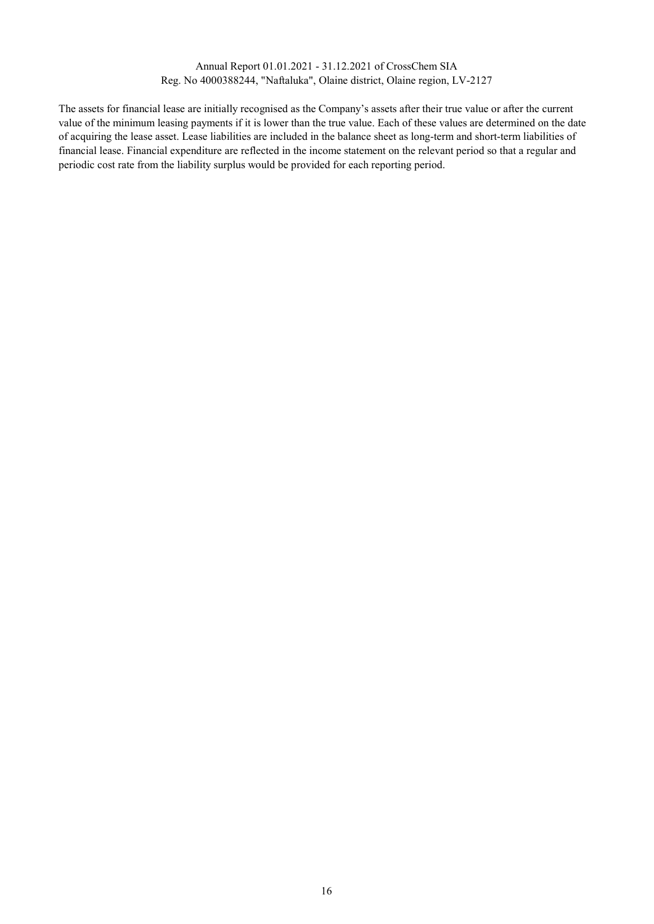The assets for financial lease are initially recognised as the Company's assets after their true value or after the current value of the minimum leasing payments if it is lower than the true value. Each of these values are determined on the date of acquiring the lease asset. Lease liabilities are included in the balance sheet as long-term and short-term liabilities of financial lease. Financial expenditure are reflected in the income statement on the relevant period so that a regular and periodic cost rate from the liability surplus would be provided for each reporting period.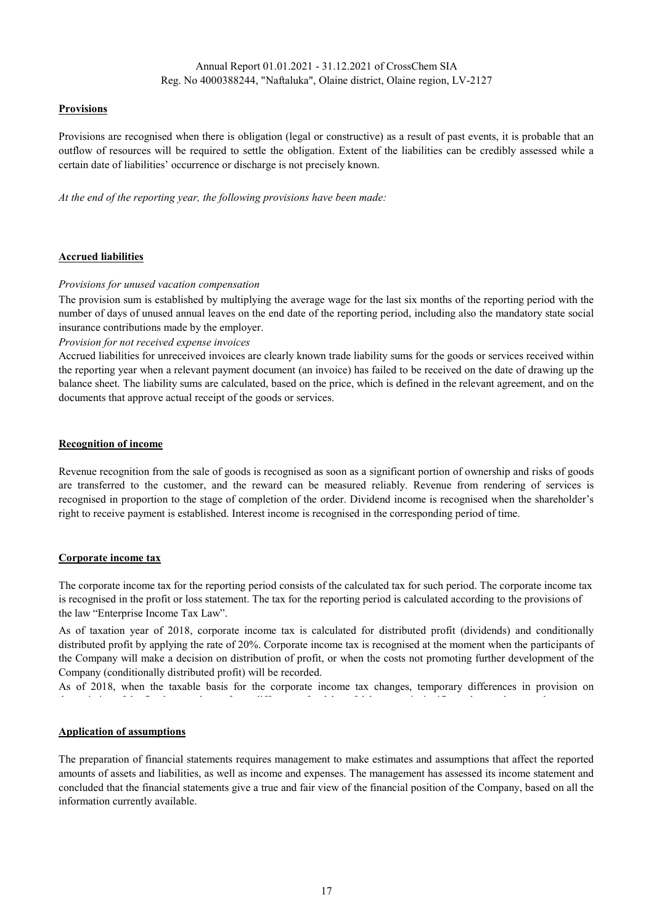## **Provisions**

Provisions are recognised when there is obligation (legal or constructive) as a result of past events, it is probable that an outflow of resources will be required to settle the obligation. Extent of the liabilities can be credibly assessed while a certain date of liabilities' occurrence or discharge is not precisely known.

At the end of the reporting year, the following provisions have been made:

### Accrued liabilities

### Provisions for unused vacation compensation

The provision sum is established by multiplying the average wage for the last six months of the reporting period with the number of days of unused annual leaves on the end date of the reporting period, including also the mandatory state social insurance contributions made by the employer.

Provision for not received expense invoices

Accrued liabilities for unreceived invoices are clearly known trade liability sums for the goods or services received within the reporting year when a relevant payment document (an invoice) has failed to be received on the date of drawing up the balance sheet. The liability sums are calculated, based on the price, which is defined in the relevant agreement, and on the documents that approve actual receipt of the goods or services.

#### Recognition of income

Revenue recognition from the sale of goods is recognised as soon as a significant portion of ownership and risks of goods are transferred to the customer, and the reward can be measured reliably. Revenue from rendering of services is recognised in proportion to the stage of completion of the order. Dividend income is recognised when the shareholder's right to receive payment is established. Interest income is recognised in the corresponding period of time.

#### Corporate income tax

The corporate income tax for the reporting period consists of the calculated tax for such period. The corporate income tax is recognised in the profit or loss statement. The tax for the reporting period is calculated according to the provisions of the law "Enterprise Income Tax Law".

As of taxation year of 2018, corporate income tax is calculated for distributed profit (dividends) and conditionally distributed profit by applying the rate of 20%. Corporate income tax is recognised at the moment when the participants of the Company will make a decision on distribution of profit, or when the costs not promoting further development of the Company (conditionally distributed profit) will be recorded.

As of 2018, when the taxable basis for the corporate income tax changes, temporary differences in provision on

depreciation of the fixed assets do not form; differences for debts of debtors are insignificant; but tax losses to be

#### Application of assumptions

The preparation of financial statements requires management to make estimates and assumptions that affect the reported amounts of assets and liabilities, as well as income and expenses. The management has assessed its income statement and concluded that the financial statements give a true and fair view of the financial position of the Company, based on all the information currently available.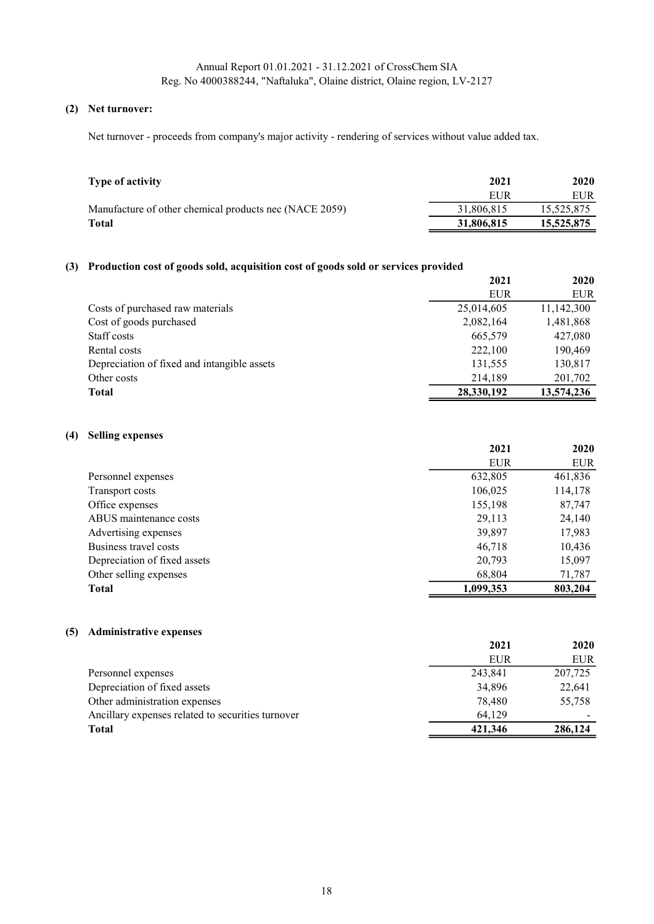## (2) Net turnover:

Net turnover - proceeds from company's major activity - rendering of services without value added tax.

| Type of activity                                       | 2021       | 2020       |
|--------------------------------------------------------|------------|------------|
|                                                        | EUR        | <b>EUR</b> |
| Manufacture of other chemical products nec (NACE 2059) | 31,806,815 | 15,525,875 |
| Total                                                  | 31,806,815 | 15,525,875 |

## (3) Production cost of goods sold, acquisition cost of goods sold or services provided

|                                             | 2021       | 2020       |
|---------------------------------------------|------------|------------|
|                                             | EUR        | <b>EUR</b> |
| Costs of purchased raw materials            | 25,014,605 | 11,142,300 |
| Cost of goods purchased                     | 2,082,164  | 1,481,868  |
| Staff costs                                 | 665,579    | 427,080    |
| Rental costs                                | 222,100    | 190,469    |
| Depreciation of fixed and intangible assets | 131,555    | 130,817    |
| Other costs                                 | 214,189    | 201,702    |
| Total                                       | 28,330,192 | 13,574,236 |

## (4) Selling expenses

|                              | 2021       | 2020       |
|------------------------------|------------|------------|
|                              | <b>EUR</b> | <b>EUR</b> |
| Personnel expenses           | 632,805    | 461,836    |
| Transport costs              | 106,025    | 114,178    |
| Office expenses              | 155,198    | 87,747     |
| ABUS maintenance costs       | 29,113     | 24,140     |
| Advertising expenses         | 39,897     | 17,983     |
| Business travel costs        | 46,718     | 10,436     |
| Depreciation of fixed assets | 20,793     | 15,097     |
| Other selling expenses       | 68,804     | 71,787     |
| <b>Total</b>                 | 1,099,353  | 803,204    |

## (5) Administrative expenses

| 2021    | 2020    |
|---------|---------|
| EUR     | EUR     |
| 243,841 | 207,725 |
| 34,896  | 22,641  |
| 78,480  | 55,758  |
| 64.129  |         |
| 421,346 | 286,124 |
|         |         |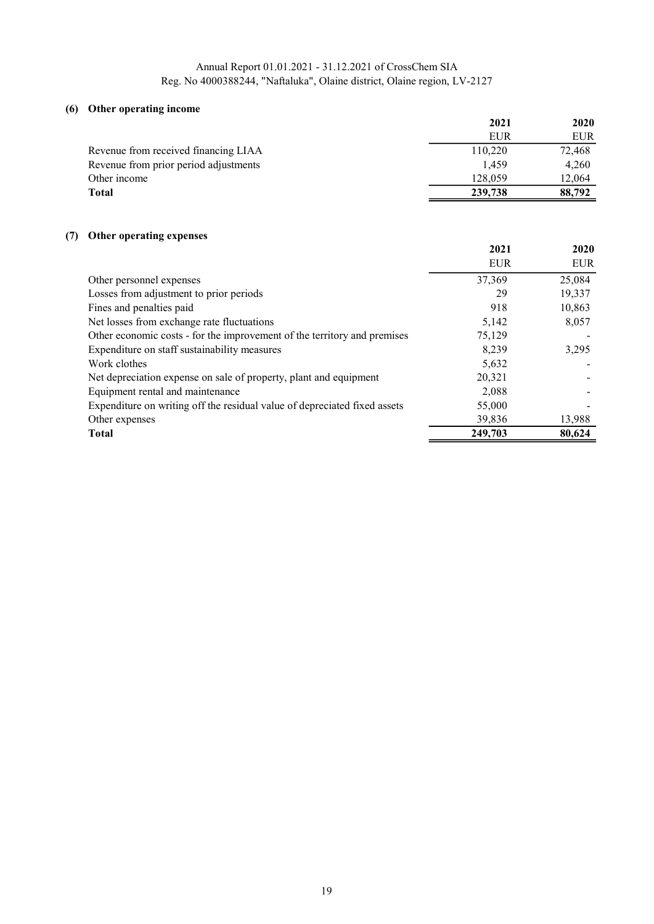## (6) Other operating income

| $\sigma$ and $\sigma$ between $\mu$ meaning | 2021    | 2020   |
|---------------------------------------------|---------|--------|
|                                             | EUR     | EUR    |
| Revenue from received financing LIAA        | 110,220 | 72,468 |
| Revenue from prior period adjustments       | 1.459   | 4,260  |
| Other income                                | 128,059 | 12,064 |
| Total                                       | 239,738 | 88,792 |

## (7) Other operating expenses

|                                                                           | 2021       | 2020       |
|---------------------------------------------------------------------------|------------|------------|
|                                                                           | <b>EUR</b> | <b>EUR</b> |
| Other personnel expenses                                                  | 37,369     | 25,084     |
| Losses from adjustment to prior periods                                   | 29         | 19,337     |
| Fines and penalties paid                                                  | 918        | 10,863     |
| Net losses from exchange rate fluctuations                                | 5,142      | 8,057      |
| Other economic costs - for the improvement of the territory and premises  | 75,129     |            |
| Expenditure on staff sustainability measures                              | 8.239      | 3,295      |
| Work clothes                                                              | 5,632      |            |
| Net depreciation expense on sale of property, plant and equipment         | 20,321     |            |
| Equipment rental and maintenance                                          | 2,088      |            |
| Expenditure on writing off the residual value of depreciated fixed assets | 55,000     |            |
| Other expenses                                                            | 39,836     | 13,988     |
| <b>Total</b>                                                              | 249,703    | 80,624     |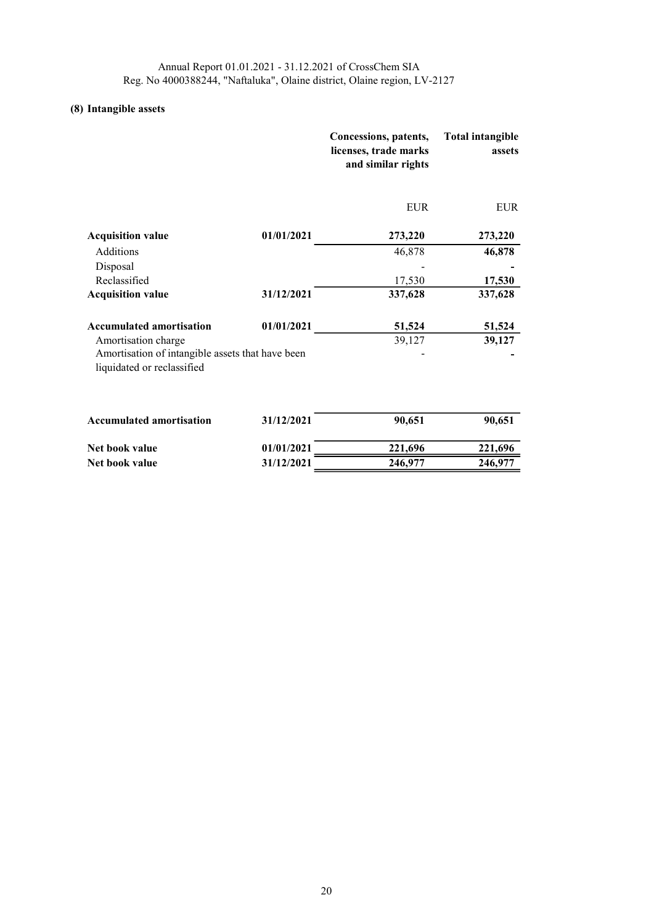# (8) Intangible assets

|                                                                                |            | Concessions, patents,<br>licenses, trade marks<br>and similar rights | <b>Total intangible</b><br>assets |
|--------------------------------------------------------------------------------|------------|----------------------------------------------------------------------|-----------------------------------|
|                                                                                |            | <b>EUR</b>                                                           | <b>EUR</b>                        |
| <b>Acquisition value</b>                                                       | 01/01/2021 | 273,220                                                              | 273,220                           |
| Additions                                                                      |            | 46,878                                                               | 46,878                            |
| Disposal                                                                       |            |                                                                      |                                   |
| Reclassified                                                                   |            | 17,530                                                               | 17,530                            |
| <b>Acquisition value</b>                                                       | 31/12/2021 | 337,628                                                              | 337,628                           |
| <b>Accumulated amortisation</b>                                                | 01/01/2021 | 51,524                                                               | 51,524                            |
| Amortisation charge                                                            |            | 39,127                                                               | 39,127                            |
| Amortisation of intangible assets that have been<br>liquidated or reclassified |            |                                                                      |                                   |
| <b>Accumulated amortisation</b>                                                | 31/12/2021 | 90,651                                                               | 90,651                            |
| Net book value                                                                 | 01/01/2021 | 221,696                                                              | 221,696                           |
| Net book value                                                                 | 31/12/2021 | 246,977                                                              | 246,977                           |
|                                                                                |            |                                                                      |                                   |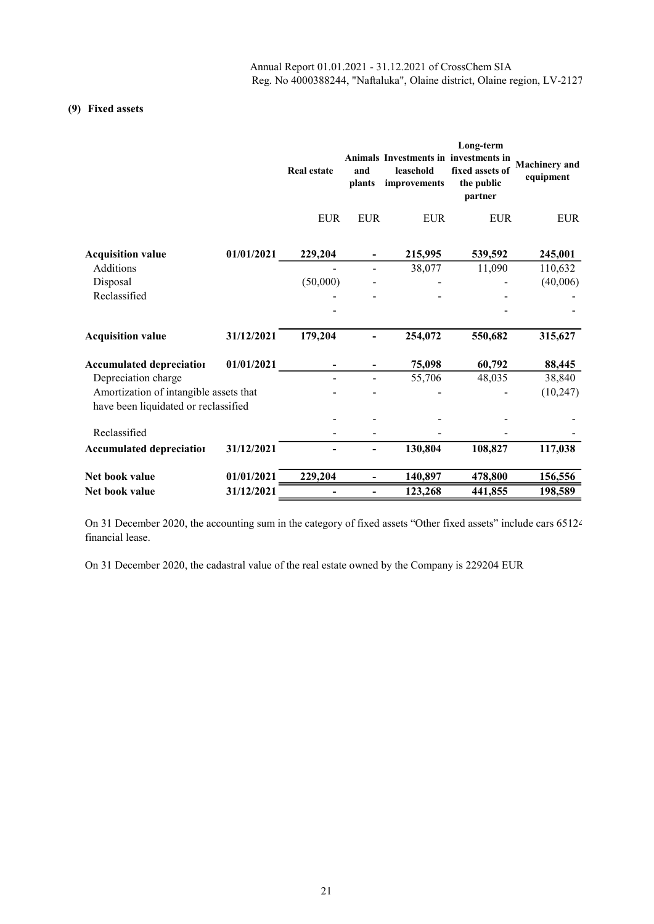## (9) Fixed assets

|                                        |            | <b>Real estate</b>       | and<br>plants                | Animals Investments in investments in<br>leasehold<br>improvements | Long-term<br>fixed assets of<br>the public<br>partner | <b>Machinery</b> and<br>equipment |
|----------------------------------------|------------|--------------------------|------------------------------|--------------------------------------------------------------------|-------------------------------------------------------|-----------------------------------|
|                                        |            | <b>EUR</b>               | <b>EUR</b>                   | <b>EUR</b>                                                         | <b>EUR</b>                                            | <b>EUR</b>                        |
| <b>Acquisition value</b>               | 01/01/2021 | 229,204                  |                              | 215,995                                                            | 539,592                                               | 245,001                           |
| Additions                              |            |                          |                              | 38,077                                                             | 11,090                                                | 110,632                           |
| Disposal                               |            | (50,000)                 |                              |                                                                    |                                                       | (40,006)                          |
| Reclassified                           |            |                          |                              |                                                                    |                                                       |                                   |
|                                        |            |                          |                              |                                                                    |                                                       |                                   |
| <b>Acquisition value</b>               | 31/12/2021 | 179,204                  |                              | 254,072                                                            | 550,682                                               | 315,627                           |
| <b>Accumulated depreciation</b>        | 01/01/2021 |                          |                              | 75,098                                                             | 60,792                                                | 88,445                            |
| Depreciation charge                    |            |                          |                              | 55,706                                                             | 48,035                                                | 38,840                            |
| Amortization of intangible assets that |            |                          |                              |                                                                    |                                                       | (10, 247)                         |
| have been liquidated or reclassified   |            |                          |                              |                                                                    |                                                       |                                   |
|                                        |            |                          |                              |                                                                    |                                                       |                                   |
| Reclassified                           |            |                          |                              |                                                                    |                                                       |                                   |
| <b>Accumulated depreciation</b>        | 31/12/2021 |                          |                              | 130.804                                                            | 108,827                                               | 117,038                           |
| Net book value                         | 01/01/2021 | 229,204                  | $\qquad \qquad \blacksquare$ | 140,897                                                            | 478,800                                               | 156,556                           |
| Net book value                         | 31/12/2021 | $\overline{\phantom{0}}$ | $\overline{\phantom{0}}$     | 123,268                                                            | 441,855                                               | 198,589                           |

On 31 December 2020, the accounting sum in the category of fixed assets "Other fixed assets" include cars 65124 financial lease.

On 31 December 2020, the cadastral value of the real estate owned by the Company is 229204 EUR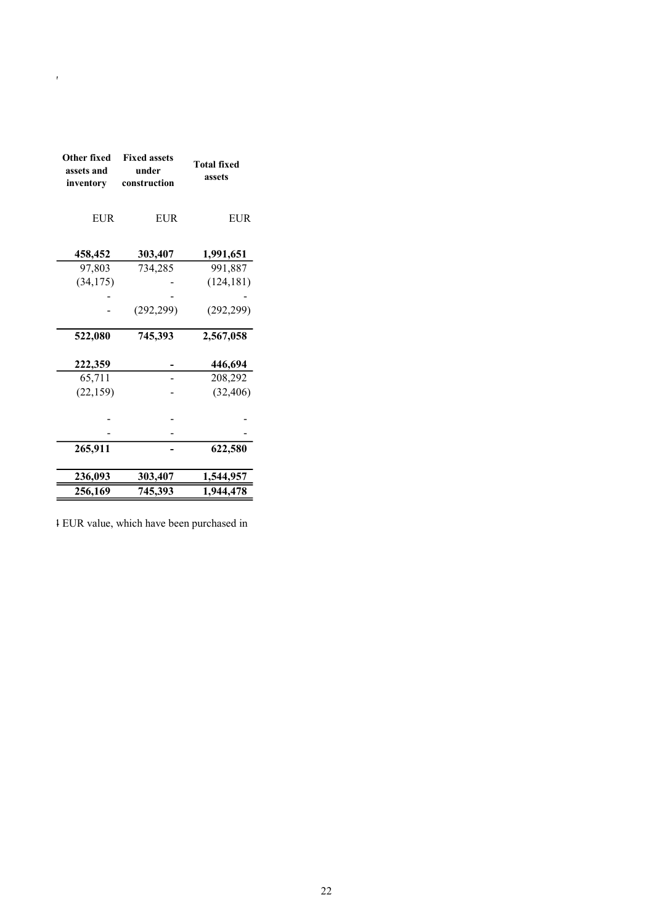| Other fixed<br>assets and<br>inventory | <b>Fixed assets</b><br>under<br>construction | <b>Total fixed</b><br>assets |
|----------------------------------------|----------------------------------------------|------------------------------|
| <b>EUR</b>                             | <b>EUR</b>                                   | <b>EUR</b>                   |
| 458,452                                | 303,407                                      | 1,991,651                    |
| 97,803                                 | 734,285                                      | 991,887                      |
| (34, 175)                              |                                              | (124, 181)                   |
|                                        |                                              |                              |
|                                        | (292, 299)                                   | (292, 299)                   |
| 522,080                                | 745,393                                      | 2,567,058                    |
| 222,359                                |                                              | 446,694                      |
| 65,711                                 |                                              | 208,292                      |
| (22, 159)                              |                                              | (32, 406)                    |
|                                        |                                              |                              |
|                                        |                                              |                              |
| 265,911                                |                                              | 622,580                      |
| 236,093                                | 303,407                                      | 1,544,957                    |
| 256,169                                | 745,393                                      | 1,944,478                    |

Reg. No 4000388244, "Naftaluka", Olaine district, Olaine region, LV-2127

1 EUR value, which have been purchased in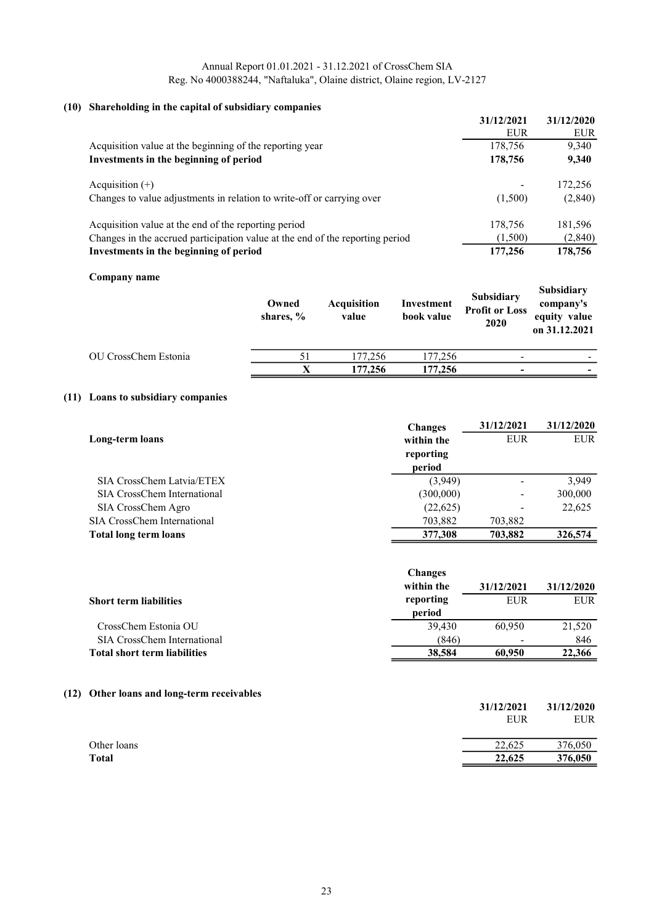## (10) Shareholding in the capital of subsidiary companies

| $\sigma$ - $\sigma$ - $\sigma$ - $\sigma$ - $\sigma$ - $\sigma$ - $\sigma$ - $\sigma$ - $\sigma$ - $\sigma$ - $\sigma$ - $\sigma$ - $\sigma$ - $\sigma$ - $\sigma$ - $\sigma$ - $\sigma$ - $\sigma$ - $\sigma$ - $\sigma$ - $\sigma$ - $\sigma$ - $\sigma$ - $\sigma$ - $\sigma$ - $\sigma$ - $\sigma$ - $\sigma$ - $\sigma$ - $\sigma$ - $\sigma$ - $\sigma$ - $\sigma$ - $\sigma$ - $\sigma$ - $\sigma$ - $\sigma$ - |                          |
|------------------------------------------------------------------------------------------------------------------------------------------------------------------------------------------------------------------------------------------------------------------------------------------------------------------------------------------------------------------------------------------------------------------------|--------------------------|
|                                                                                                                                                                                                                                                                                                                                                                                                                        | 31/12/2021<br>31/12/2020 |
|                                                                                                                                                                                                                                                                                                                                                                                                                        | <b>EUR</b><br>EUR        |
| Acquisition value at the beginning of the reporting year                                                                                                                                                                                                                                                                                                                                                               | 9,340<br>178,756         |
| Investments in the beginning of period                                                                                                                                                                                                                                                                                                                                                                                 | 178,756<br>9,340         |
| Acquisition $(+)$                                                                                                                                                                                                                                                                                                                                                                                                      | 172,256                  |
| Changes to value adjustments in relation to write-off or carrying over                                                                                                                                                                                                                                                                                                                                                 | (2,840)<br>(1,500)       |
| Acquisition value at the end of the reporting period                                                                                                                                                                                                                                                                                                                                                                   | 178,756<br>181,596       |
| Changes in the accrued participation value at the end of the reporting period                                                                                                                                                                                                                                                                                                                                          | (2, 840)<br>(1,500)      |
| Investments in the beginning of period                                                                                                                                                                                                                                                                                                                                                                                 | 177,256<br>178,756       |
|                                                                                                                                                                                                                                                                                                                                                                                                                        |                          |

#### Company name

| $\sim$ $\sim$ $\sim$ $\sim$ $\sim$ $\sim$ $\sim$ $\sim$ | Owned<br>shares, % | <b>Acquisition</b><br>value | Investment<br>book value | Subsidiary<br><b>Profit or Loss</b><br>2020 | <b>Subsidiary</b><br>company's<br>equity value<br>on 31.12.2021 |
|---------------------------------------------------------|--------------------|-----------------------------|--------------------------|---------------------------------------------|-----------------------------------------------------------------|
| OU CrossChem Estonia                                    |                    | 177,256                     | 177,256                  |                                             |                                                                 |
|                                                         | X                  | 177,256                     | 177,256                  |                                             |                                                                 |

## (11) Loans to subsidiary companies

|                              | <b>Changes</b> | 31/12/2021               | 31/12/2020 |
|------------------------------|----------------|--------------------------|------------|
| Long-term loans              | within the     | <b>EUR</b>               | <b>EUR</b> |
|                              | reporting      |                          |            |
|                              | period         |                          |            |
| SIA CrossChem Latvia/ETEX    | (3,949)        |                          | 3.949      |
| SIA CrossChem International  | (300,000)      | -                        | 300,000    |
| SIA CrossChem Agro           | (22,625)       | $\overline{\phantom{a}}$ | 22,625     |
| SIA CrossChem International  | 703,882        | 703,882                  |            |
| <b>Total long term loans</b> | 377,308        | 703.882                  | 326,574    |

|                                     | <b>Changes</b> |            |            |
|-------------------------------------|----------------|------------|------------|
|                                     | within the     | 31/12/2021 | 31/12/2020 |
| <b>Short term liabilities</b>       | reporting      | <b>EUR</b> | <b>EUR</b> |
|                                     | period         |            |            |
| CrossChem Estonia OU                | 39.430         | 60.950     | 21,520     |
| SIA CrossChem International         | (846)          |            | 846        |
| <b>Total short term liabilities</b> | 38,584         | 60,950     | 22,366     |

## (12) Other loans and long-term receivables

|              | 31/12/2021 | 31/12/2020 |
|--------------|------------|------------|
|              | <b>EUR</b> | <b>EUR</b> |
| Other loans  | 22,625     | 376,050    |
| <b>Total</b> | 22,625     | 376,050    |
|              |            |            |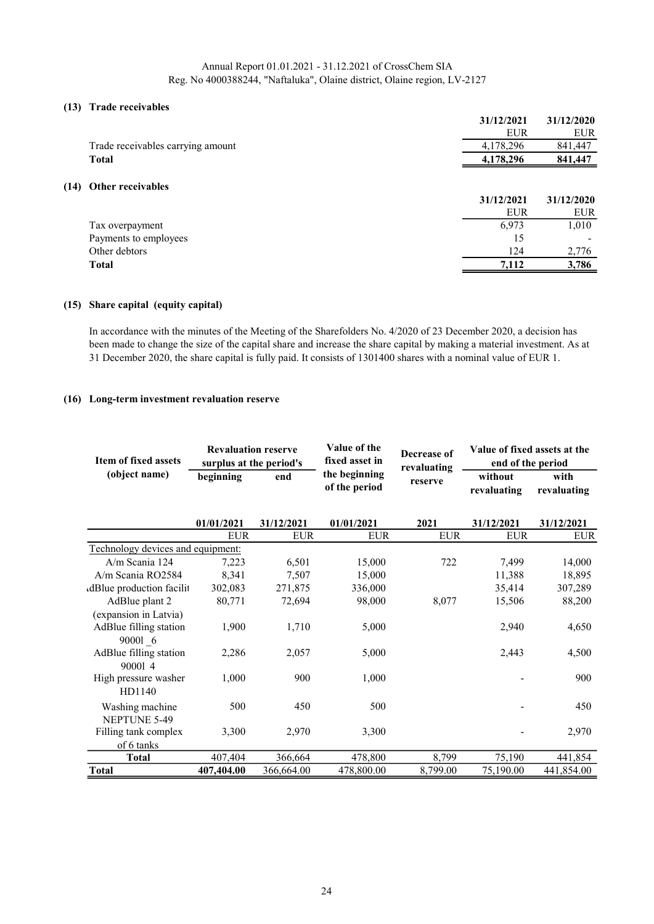#### (13) Trade receivables

|      |                                   | 31/12/2021 | 31/12/2020 |
|------|-----------------------------------|------------|------------|
|      |                                   | <b>EUR</b> | <b>EUR</b> |
|      | Trade receivables carrying amount | 4,178,296  | 841,447    |
|      | <b>Total</b>                      | 4,178,296  | 841,447    |
|      |                                   |            |            |
| (14) | Other receivables                 |            |            |
|      |                                   | 31/12/2021 | 31/12/2020 |
|      |                                   | <b>EUR</b> | <b>EUR</b> |
|      | Tax overpayment                   | 6,973      | 1,010      |
|      | Payments to employees             | 15         |            |
|      | Other debtors                     | 124        | 2,776      |
|      | <b>Total</b>                      | 7,112      | 3,786      |
|      |                                   |            |            |

#### (15) Share capital (equity capital)

In accordance with the minutes of the Meeting of the Sharefolders No. 4/2020 of 23 December 2020, a decision has been made to change the size of the capital share and increase the share capital by making a material investment. As at 31 December 2020, the share capital is fully paid. It consists of 1301400 shares with a nominal value of EUR 1.

#### (16) Long-term investment revaluation reserve

| <b>Item of fixed assets</b>                                | <b>Revaluation reserve</b><br>surplus at the period's |            | Value of the<br>fixed asset in | Decrease of<br>revaluating | Value of fixed assets at the<br>end of the period |                     |
|------------------------------------------------------------|-------------------------------------------------------|------------|--------------------------------|----------------------------|---------------------------------------------------|---------------------|
| (object name)                                              | beginning                                             | end        | the beginning<br>of the period | reserve                    |                                                   | with<br>revaluating |
|                                                            | 01/01/2021                                            | 31/12/2021 | 01/01/2021                     | 2021                       | 31/12/2021                                        | 31/12/2021          |
|                                                            | <b>EUR</b>                                            | <b>EUR</b> | <b>EUR</b>                     | <b>EUR</b>                 | <b>EUR</b>                                        | <b>EUR</b>          |
| Technology devices and equipment:                          |                                                       |            |                                |                            |                                                   |                     |
| $A/m$ Scania 124                                           | 7,223                                                 | 6,501      | 15,000                         | 722                        | 7,499                                             | 14,000              |
| $A/m$ Scania RO2584                                        | 8,341                                                 | 7,507      | 15,000                         |                            | 11,388                                            | 18,895              |
| dBlue production facilit                                   | 302,083                                               | 271,875    | 336,000                        |                            | 35,414                                            | 307,289             |
| AdBlue plant 2                                             | 80,771                                                | 72,694     | 98,000                         | 8,077                      | 15,506                                            | 88,200              |
| (expansion in Latvia)<br>AdBlue filling station<br>90001 6 | 1,900                                                 | 1,710      | 5,000                          |                            | 2,940                                             | 4,650               |
| AdBlue filling station<br>90001 4                          | 2,286                                                 | 2,057      | 5,000                          |                            | 2,443                                             | 4,500               |
| High pressure washer<br>HD1140                             | 1.000                                                 | 900        | 1,000                          |                            |                                                   | 900                 |
| Washing machine<br><b>NEPTUNE 5-49</b>                     | 500                                                   | 450        | 500                            |                            |                                                   | 450                 |
| Filling tank complex                                       | 3,300                                                 | 2,970      | 3,300                          |                            |                                                   | 2,970               |
| of 6 tanks                                                 |                                                       |            |                                |                            |                                                   |                     |
| <b>Total</b>                                               | 407,404                                               | 366,664    | 478,800                        | 8,799                      | 75,190                                            | 441,854             |
| Total                                                      | 407,404.00                                            | 366,664.00 | 478,800.00                     | 8,799.00                   | 75,190.00                                         | 441,854.00          |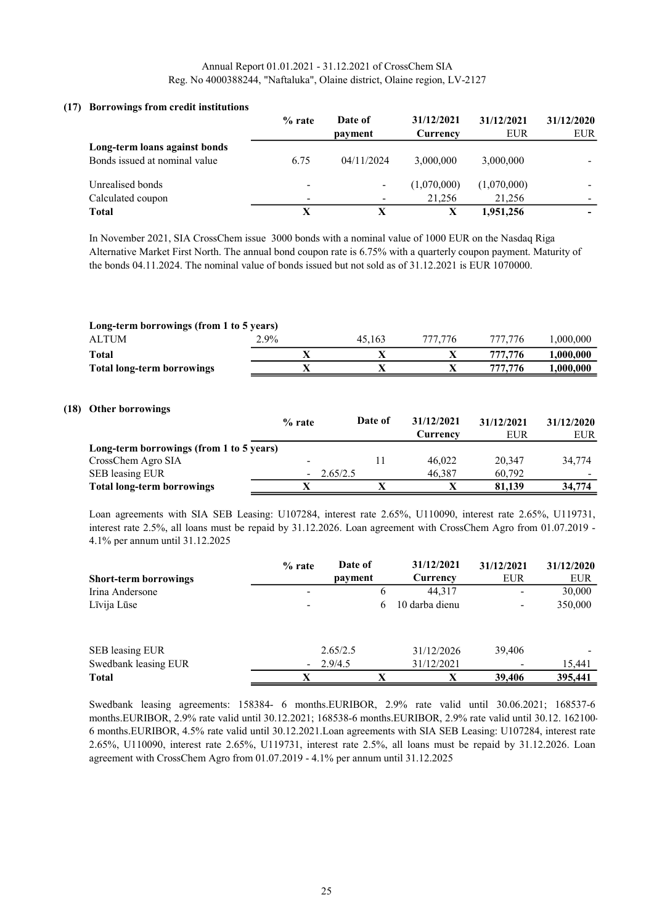#### (17) Borrowings from credit institutions

|                               | $%$ rate                 | Date of                  | 31/12/2021  | 31/12/2021  | 31/12/2020 |
|-------------------------------|--------------------------|--------------------------|-------------|-------------|------------|
|                               |                          | payment                  | Currency    | <b>EUR</b>  | <b>EUR</b> |
| Long-term loans against bonds |                          |                          |             |             |            |
| Bonds issued at nominal value | 6.75                     | 04/11/2024               | 3,000,000   | 3,000,000   |            |
| Unrealised bonds              | $\overline{\phantom{a}}$ | $\overline{\phantom{a}}$ | (1,070,000) | (1,070,000) |            |
| Calculated coupon             | $\overline{\phantom{a}}$ | $\overline{\phantom{a}}$ | 21.256      | 21,256      |            |
| <b>Total</b>                  | X                        |                          | X           | 1,951,256   |            |

In November 2021, SIA CrossChem issue 3000 bonds with a nominal value of 1000 EUR on the Nasdaq Riga Alternative Market First North. The annual bond coupon rate is 6.75% with a quarterly coupon payment. Maturity of the bonds 04.11.2024. The nominal value of bonds issued but not sold as of 31.12.2021 is EUR 1070000.

| Long-term borrowings (from 1 to 5 years) |         |        |         |         |           |  |
|------------------------------------------|---------|--------|---------|---------|-----------|--|
| <b>ALTUM</b>                             | $2.9\%$ | 45.163 | 777.776 | 777,776 | .000.000  |  |
| Total                                    |         |        |         | 777.776 | 1.000.000 |  |
| <b>Total long-term borrowings</b>        |         |        |         | 777.776 | 1.000.000 |  |
|                                          |         |        |         |         |           |  |

#### (18) Other borrowings

|                                          | $%$ rate                 | Date of  | 31/12/2021 | 31/12/2021 | 31/12/2020 |
|------------------------------------------|--------------------------|----------|------------|------------|------------|
|                                          |                          |          | Currency   | EUR        | EUR        |
| Long-term borrowings (from 1 to 5 years) |                          |          |            |            |            |
| CrossChem Agro SIA                       | $\overline{\phantom{a}}$ |          | 46,022     | 20,347     | 34,774     |
| SEB leasing EUR                          | $\overline{\phantom{a}}$ | 2.65/2.5 | 46,387     | 60.792     |            |
| <b>Total long-term borrowings</b>        |                          |          |            | 81.139     | 34,774     |

Loan agreements with SIA SEB Leasing: U107284, interest rate 2.65%, U110090, interest rate 2.65%, U119731, interest rate 2.5%, all loans must be repaid by 31.12.2026. Loan agreement with CrossChem Agro from 01.07.2019 - 4.1% per annum until 31.12.2025

|                              | $%$ rate                 | Date of  | 31/12/2021     | 31/12/2021               | 31/12/2020 |
|------------------------------|--------------------------|----------|----------------|--------------------------|------------|
| <b>Short-term borrowings</b> |                          | payment  | Currency       | <b>EUR</b>               | <b>EUR</b> |
| Irina Andersone              | $\overline{\phantom{a}}$ | O        | 44,317         | $\overline{\phantom{a}}$ | 30,000     |
| Līvija Lūse                  | $\overline{\phantom{a}}$ | 6        | 10 darba dienu | $\overline{\phantom{a}}$ | 350,000    |
|                              |                          |          |                |                          |            |
| SEB leasing EUR              |                          | 2.65/2.5 | 31/12/2026     | 39,406                   |            |
| Swedbank leasing EUR         | $\sim$                   | 2.9/4.5  | 31/12/2021     |                          | 15,441     |
| <b>Total</b>                 | x                        | x        | X              | 39,406                   | 395,441    |

Swedbank leasing agreements: 158384- 6 months.EURIBOR, 2.9% rate valid until 30.06.2021; 168537-6 months.EURIBOR, 2.9% rate valid until 30.12.2021; 168538-6 months.EURIBOR, 2.9% rate valid until 30.12. 162100- 6 months.EURIBOR, 4.5% rate valid until 30.12.2021.Loan agreements with SIA SEB Leasing: U107284, interest rate 2.65%, U110090, interest rate 2.65%, U119731, interest rate 2.5%, all loans must be repaid by 31.12.2026. Loan agreement with CrossChem Agro from 01.07.2019 - 4.1% per annum until 31.12.2025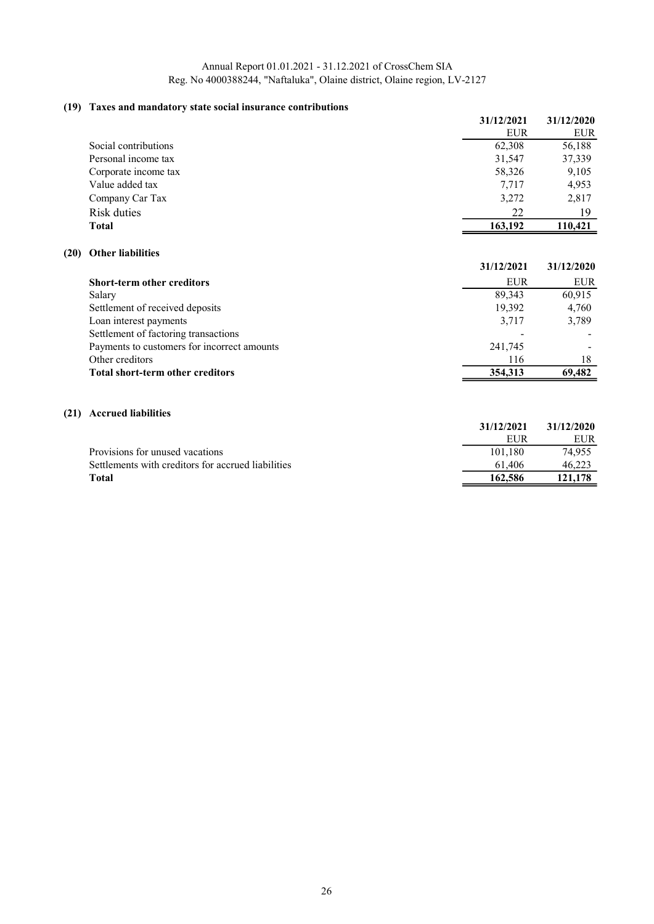## (19) Taxes and mandatory state social insurance contributions

|      |                                                    | 31/12/2021 | 31/12/2020 |
|------|----------------------------------------------------|------------|------------|
|      |                                                    | <b>EUR</b> | <b>EUR</b> |
|      | Social contributions                               | 62,308     | 56,188     |
|      | Personal income tax                                | 31,547     | 37,339     |
|      | Corporate income tax                               | 58,326     | 9,105      |
|      | Value added tax                                    | 7,717      | 4,953      |
|      | Company Car Tax                                    | 3,272      | 2,817      |
|      | <b>Risk duties</b>                                 | 22         | 19         |
|      | <b>Total</b>                                       | 163,192    | 110,421    |
| (20) | <b>Other liabilities</b>                           |            |            |
|      |                                                    | 31/12/2021 | 31/12/2020 |
|      | <b>Short-term other creditors</b>                  | <b>EUR</b> | <b>EUR</b> |
|      | Salary                                             | 89,343     | 60,915     |
|      | Settlement of received deposits                    | 19,392     | 4,760      |
|      | Loan interest payments                             | 3,717      | 3,789      |
|      | Settlement of factoring transactions               |            |            |
|      | Payments to customers for incorrect amounts        | 241,745    |            |
|      | Other creditors                                    | 116        | 18         |
|      | <b>Total short-term other creditors</b>            | 354,313    | 69,482     |
| (21) | <b>Accrued liabilities</b>                         |            |            |
|      |                                                    | 31/12/2021 | 31/12/2020 |
|      |                                                    | <b>EUR</b> | <b>EUR</b> |
|      | Provisions for unused vacations                    | 101,180    | 74,955     |
|      | Settlements with creditors for accrued liabilities | 61,406     | 46,223     |

Total 162,586 121,178